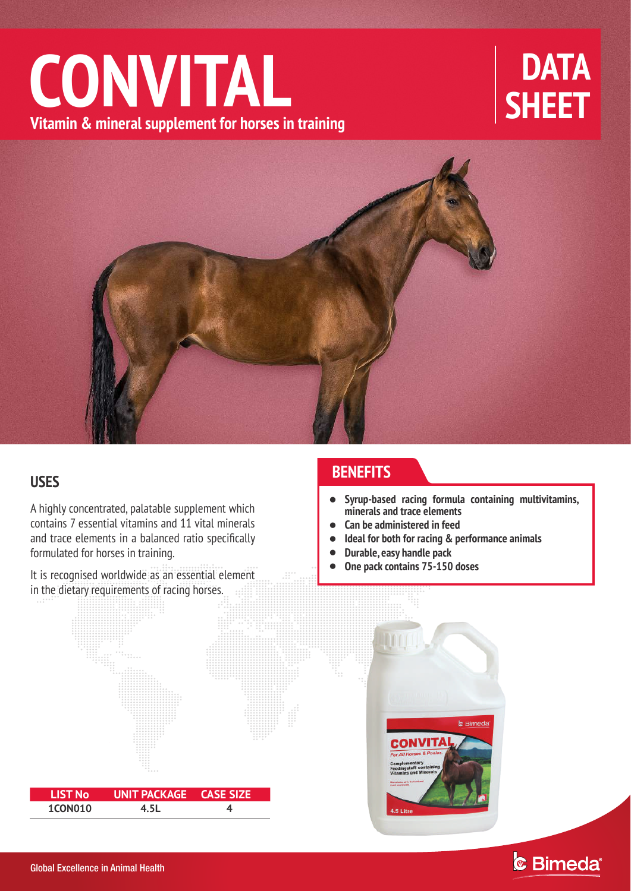# **CONVITAL**<br>Vitamin & mineral supplement for horses in training<br> **CONVITAL**



A highly concentrated, palatable supplement which contains 7 essential vitamins and 11 vital minerals and trace elements in a balanced ratio specifically formulated for horses in training.

It is recognised worldwide as an essential element in the dietary requirements of racing horses.

 **LIST No UNIT PACKAGE CASE SIZE 1CON010 4.5L 4**

# **BENEFITS USES**

- $\bullet$ **Syrup-based racing formula containing multivitamins, minerals and trace elements**
- $\bullet$ **Can be administered in feed**
- $\bullet$ **Ideal for both for racing & performance animals**
- $\bullet$ **Durable, easy handle pack**
- $\bullet$ **One pack contains 75-150 doses**

**b** Bimeda **CONVITA**